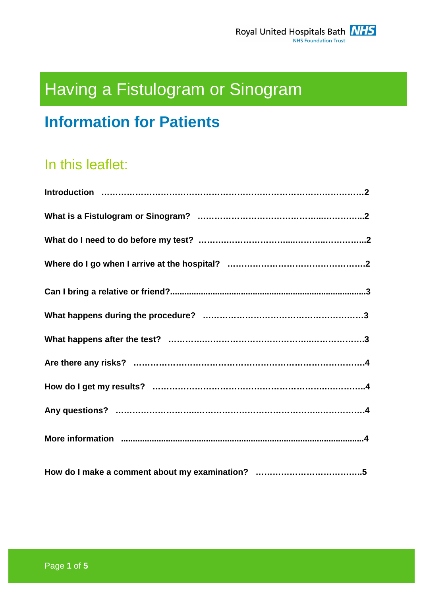# Having a Fistulogram or Sinogram

# **Information for Patients**

# In this leaflet: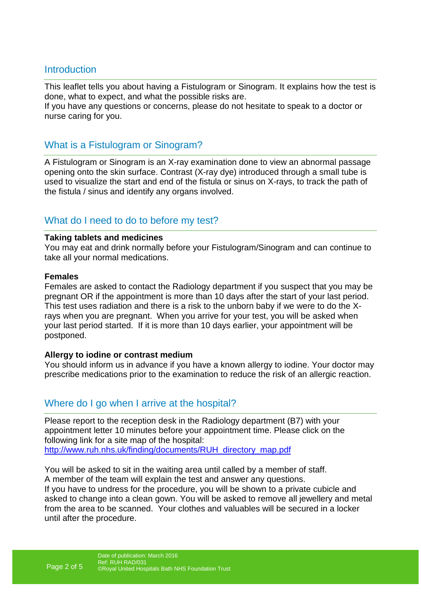#### **Introduction**

This leaflet tells you about having a Fistulogram or Sinogram. It explains how the test is done, what to expect, and what the possible risks are. If you have any questions or concerns, please do not hesitate to speak to a doctor or

nurse caring for you.

#### What is a Fistulogram or Sinogram?

A Fistulogram or Sinogram is an X-ray examination done to view an abnormal passage opening onto the skin surface. Contrast (X-ray dye) introduced through a small tube is used to visualize the start and end of the fistula or sinus on X-rays, to track the path of the fistula / sinus and identify any organs involved.

### What do I need to do to before my test?

#### **Taking tablets and medicines**

You may eat and drink normally before your Fistulogram/Sinogram and can continue to take all your normal medications.

#### **Females**

Females are asked to contact the Radiology department if you suspect that you may be pregnant OR if the appointment is more than 10 days after the start of your last period. This test uses radiation and there is a risk to the unborn baby if we were to do the Xrays when you are pregnant. When you arrive for your test, you will be asked when your last period started. If it is more than 10 days earlier, your appointment will be postponed.

#### **Allergy to iodine or contrast medium**

You should inform us in advance if you have a known allergy to iodine. Your doctor may prescribe medications prior to the examination to reduce the risk of an allergic reaction.

### Where do I go when I arrive at the hospital?

Please report to the reception desk in the Radiology department (B7) with your appointment letter 10 minutes before your appointment time. Please click on the following link for a site map of the hospital: http://www.ruh.nhs.uk/finding/documents/RUH\_directory\_map.pdf

You will be asked to sit in the waiting area until called by a member of staff. A member of the team will explain the test and answer any questions. If you have to undress for the procedure, you will be shown to a private cubicle and asked to change into a clean gown. You will be asked to remove all jewellery and metal from the area to be scanned. Your clothes and valuables will be secured in a locker until after the procedure.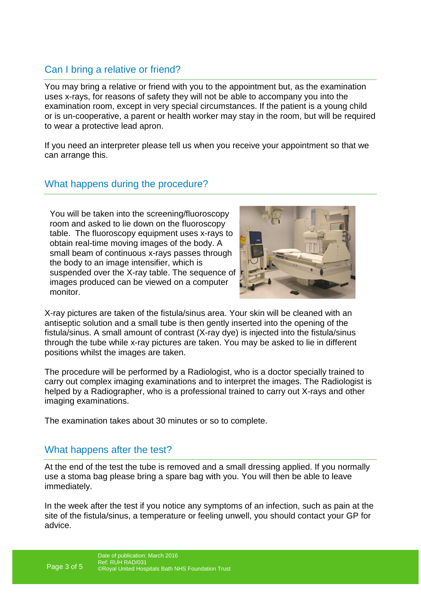## Can I bring a relative or friend?

You may bring a relative or friend with you to the appointment but, as the examination uses x-rays, for reasons of safety they will not be able to accompany you into the examination room, except in very special circumstances. If the patient is a young child or is un-cooperative, a parent or health worker may stay in the room, but will be required to wear a protective lead apron.

If you need an interpreter please tell us when you receive your appointment so that we can arrange this.

### What happens during the procedure?

You will be taken into the screening/fluoroscopy room and asked to lie down on the fluoroscopy table. The fluoroscopy equipment uses x-rays to obtain real-time moving images of the body. A small beam of continuous x-rays passes through the body to an image intensifier, which is suspended over the X-ray table. The sequence of images produced can be viewed on a computer monitor.



X-ray pictures are taken of the fistula/sinus area. Your skin will be cleaned with an antiseptic solution and a small tube is then gently inserted into the opening of the fistula/sinus. A small amount of contrast (X-ray dye) is injected into the fistula/sinus through the tube while x-ray pictures are taken. You may be asked to lie in different positions whilst the images are taken.

The procedure will be performed by a Radiologist, who is a doctor specially trained to carry out complex imaging examinations and to interpret the images. The Radiologist is helped by a Radiographer, who is a professional trained to carry out X-rays and other imaging examinations.

The examination takes about 30 minutes or so to complete.

### What happens after the test?

At the end of the test the tube is removed and a small dressing applied. If you normally use a stoma bag please bring a spare bag with you. You will then be able to leave immediately.

In the week after the test if you notice any symptoms of an infection, such as pain at the site of the fistula/sinus, a temperature or feeling unwell, you should contact your GP for advice.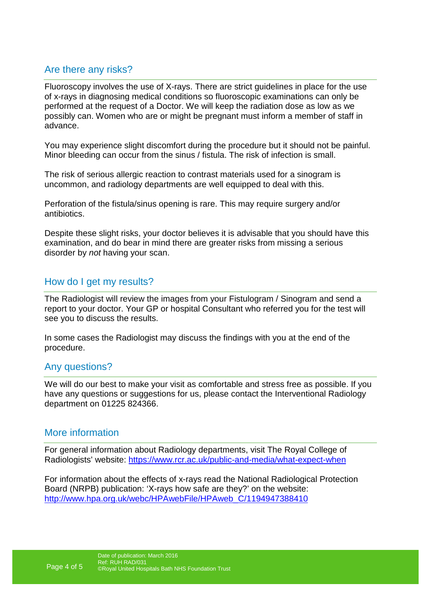### Are there any risks?

Fluoroscopy involves the use of X-rays. There are strict guidelines in place for the use of x-rays in diagnosing medical conditions so fluoroscopic examinations can only be performed at the request of a Doctor. We will keep the radiation dose as low as we possibly can. Women who are or might be pregnant must inform a member of staff in advance.

You may experience slight discomfort during the procedure but it should not be painful. Minor bleeding can occur from the sinus / fistula. The risk of infection is small.

The risk of serious allergic reaction to contrast materials used for a sinogram is uncommon, and radiology departments are well equipped to deal with this.

Perforation of the fistula/sinus opening is rare. This may require surgery and/or antibiotics.

Despite these slight risks, your doctor believes it is advisable that you should have this examination, and do bear in mind there are greater risks from missing a serious disorder by not having your scan.

#### How do I get my results?

The Radiologist will review the images from your Fistulogram / Sinogram and send a report to your doctor. Your GP or hospital Consultant who referred you for the test will see you to discuss the results.

In some cases the Radiologist may discuss the findings with you at the end of the procedure.

#### Any questions?

We will do our best to make your visit as comfortable and stress free as possible. If you have any questions or suggestions for us, please contact the Interventional Radiology department on 01225 824366.

#### More information

For general information about Radiology departments, visit The Royal College of Radiologists' website: https://www.rcr.ac.uk/public-and-media/what-expect-when

For information about the effects of x-rays read the National Radiological Protection Board (NRPB) publication: 'X-rays how safe are they?' on the website: http://www.hpa.org.uk/webc/HPAwebFile/HPAweb\_C/1194947388410